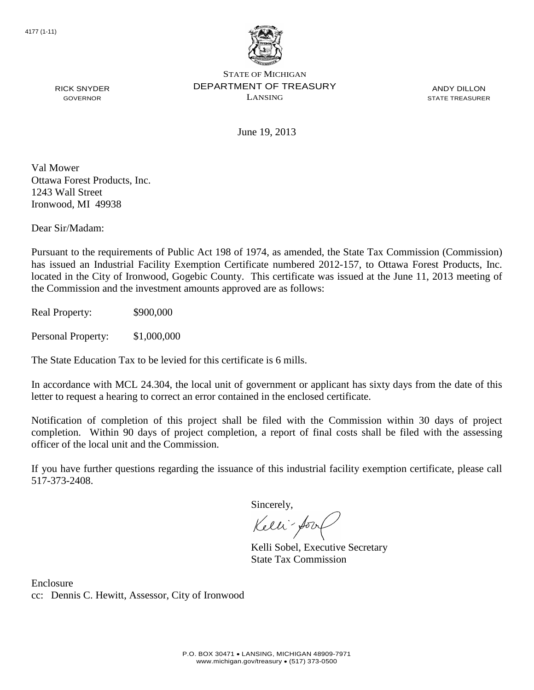

ANDY DILLON STATE TREASURER

RICK SNYDER GOVERNOR

June 19, 2013

Val Mower Ottawa Forest Products, Inc. 1243 Wall Street Ironwood, MI 49938

Dear Sir/Madam:

Pursuant to the requirements of Public Act 198 of 1974, as amended, the State Tax Commission (Commission) has issued an Industrial Facility Exemption Certificate numbered 2012-157, to Ottawa Forest Products, Inc. located in the City of Ironwood, Gogebic County. This certificate was issued at the June 11, 2013 meeting of the Commission and the investment amounts approved are as follows:

Real Property: \$900,000

Personal Property: \$1,000,000

The State Education Tax to be levied for this certificate is 6 mills.

In accordance with MCL 24.304, the local unit of government or applicant has sixty days from the date of this letter to request a hearing to correct an error contained in the enclosed certificate.

Notification of completion of this project shall be filed with the Commission within 30 days of project completion. Within 90 days of project completion, a report of final costs shall be filed with the assessing officer of the local unit and the Commission.

If you have further questions regarding the issuance of this industrial facility exemption certificate, please call 517-373-2408.

Sincerely,

Kelli-Sor

Kelli Sobel, Executive Secretary State Tax Commission

Enclosure cc: Dennis C. Hewitt, Assessor, City of Ironwood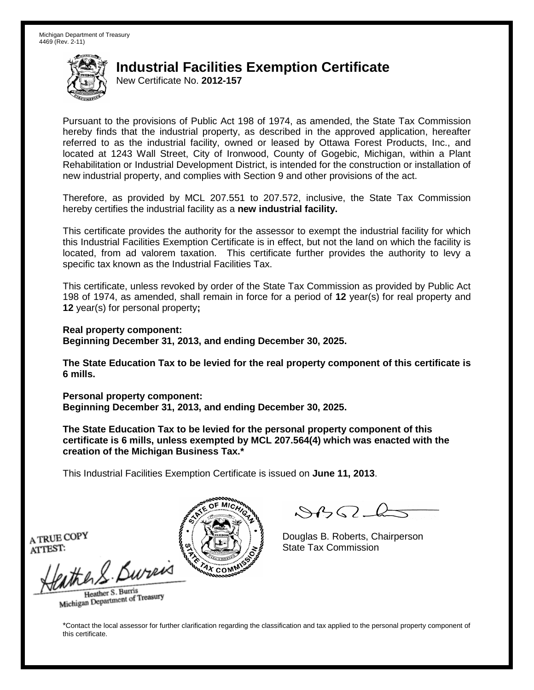New Certificate No. **2012-157**

Pursuant to the provisions of Public Act 198 of 1974, as amended, the State Tax Commission hereby finds that the industrial property, as described in the approved application, hereafter referred to as the industrial facility, owned or leased by Ottawa Forest Products, Inc., and located at 1243 Wall Street, City of Ironwood, County of Gogebic, Michigan, within a Plant Rehabilitation or Industrial Development District, is intended for the construction or installation of new industrial property, and complies with Section 9 and other provisions of the act.

Therefore, as provided by MCL 207.551 to 207.572, inclusive, the State Tax Commission hereby certifies the industrial facility as a **new industrial facility.**

This certificate provides the authority for the assessor to exempt the industrial facility for which this Industrial Facilities Exemption Certificate is in effect, but not the land on which the facility is located, from ad valorem taxation. This certificate further provides the authority to levy a specific tax known as the Industrial Facilities Tax.

This certificate, unless revoked by order of the State Tax Commission as provided by Public Act 198 of 1974, as amended, shall remain in force for a period of **12** year(s) for real property and **12** year(s) for personal property**;**

**Real property component: Beginning December 31, 2013, and ending December 30, 2025.**

**The State Education Tax to be levied for the real property component of this certificate is 6 mills.**

**Personal property component: Beginning December 31, 2013, and ending December 30, 2025.**

**The State Education Tax to be levied for the personal property component of this certificate is 6 mills, unless exempted by MCL 207.564(4) which was enacted with the creation of the Michigan Business Tax.\***

This Industrial Facilities Exemption Certificate is issued on **June 11, 2013**.

 $\mathcal{S}$ BO-6

Douglas B. Roberts, Chairperson State Tax Commission

A TRUE COPY ATTEST:

athers Burn

Heather S. Burris Heather S. Buris<br>Michigan Department of Treasury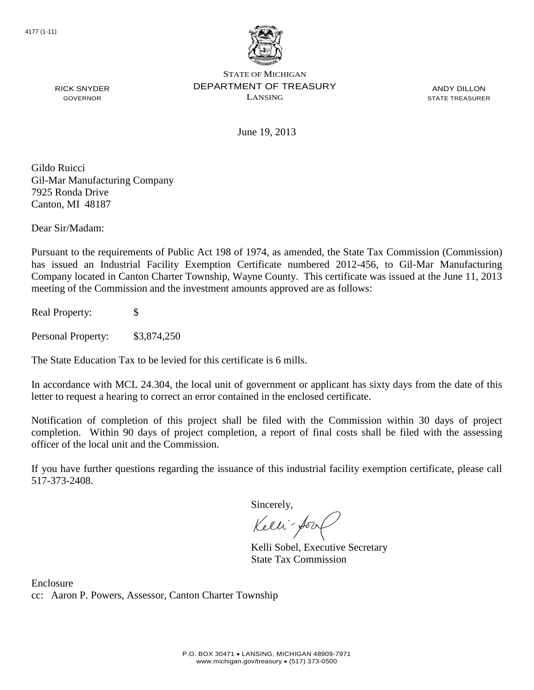

ANDY DILLON STATE TREASURER

June 19, 2013

Gildo Ruicci Gil-Mar Manufacturing Company 7925 Ronda Drive Canton, MI 48187

RICK SNYDER GOVERNOR

Dear Sir/Madam:

Pursuant to the requirements of Public Act 198 of 1974, as amended, the State Tax Commission (Commission) has issued an Industrial Facility Exemption Certificate numbered 2012-456, to Gil-Mar Manufacturing Company located in Canton Charter Township, Wayne County. This certificate was issued at the June 11, 2013 meeting of the Commission and the investment amounts approved are as follows:

Real Property: \$

Personal Property: \$3,874,250

The State Education Tax to be levied for this certificate is 6 mills.

In accordance with MCL 24.304, the local unit of government or applicant has sixty days from the date of this letter to request a hearing to correct an error contained in the enclosed certificate.

Notification of completion of this project shall be filed with the Commission within 30 days of project completion. Within 90 days of project completion, a report of final costs shall be filed with the assessing officer of the local unit and the Commission.

If you have further questions regarding the issuance of this industrial facility exemption certificate, please call 517-373-2408.

Sincerely,

Kelli-Sorr

Kelli Sobel, Executive Secretary State Tax Commission

Enclosure cc: Aaron P. Powers, Assessor, Canton Charter Township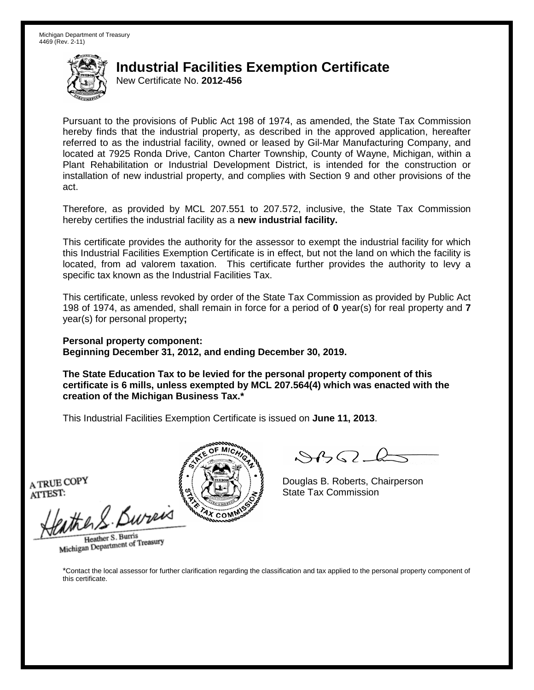New Certificate No. **2012-456**

Pursuant to the provisions of Public Act 198 of 1974, as amended, the State Tax Commission hereby finds that the industrial property, as described in the approved application, hereafter referred to as the industrial facility, owned or leased by Gil-Mar Manufacturing Company, and located at 7925 Ronda Drive, Canton Charter Township, County of Wayne, Michigan, within a Plant Rehabilitation or Industrial Development District, is intended for the construction or installation of new industrial property, and complies with Section 9 and other provisions of the act.

Therefore, as provided by MCL 207.551 to 207.572, inclusive, the State Tax Commission hereby certifies the industrial facility as a **new industrial facility.**

This certificate provides the authority for the assessor to exempt the industrial facility for which this Industrial Facilities Exemption Certificate is in effect, but not the land on which the facility is located, from ad valorem taxation. This certificate further provides the authority to levy a specific tax known as the Industrial Facilities Tax.

This certificate, unless revoked by order of the State Tax Commission as provided by Public Act 198 of 1974, as amended, shall remain in force for a period of **0** year(s) for real property and **7** year(s) for personal property**;**

**Personal property component: Beginning December 31, 2012, and ending December 30, 2019.**

**The State Education Tax to be levied for the personal property component of this certificate is 6 mills, unless exempted by MCL 207.564(4) which was enacted with the creation of the Michigan Business Tax.\***

This Industrial Facilities Exemption Certificate is issued on **June 11, 2013**.

A TRUE COPY ATTEST:

athers Burn

Heather S. Burris Heather S. Buris<br>Michigan Department of Treasury



Douglas B. Roberts, Chairperson State Tax Commission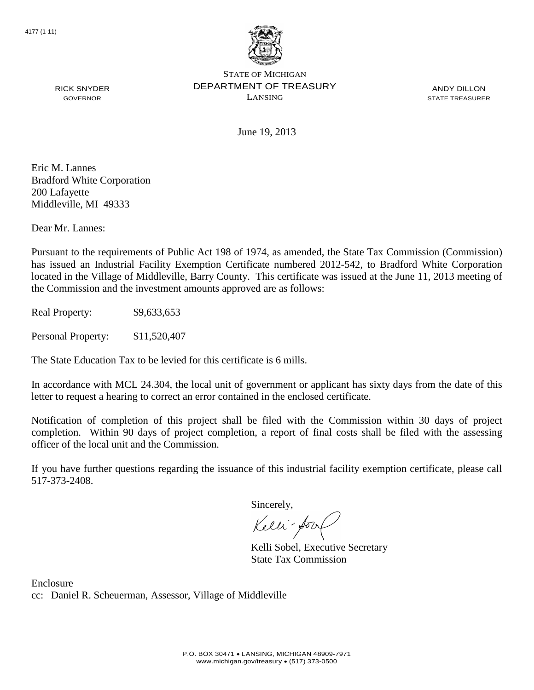

ANDY DILLON STATE TREASURER

RICK SNYDER GOVERNOR

June 19, 2013

Eric M. Lannes Bradford White Corporation 200 Lafayette Middleville, MI 49333

Dear Mr. Lannes:

Pursuant to the requirements of Public Act 198 of 1974, as amended, the State Tax Commission (Commission) has issued an Industrial Facility Exemption Certificate numbered 2012-542, to Bradford White Corporation located in the Village of Middleville, Barry County. This certificate was issued at the June 11, 2013 meeting of the Commission and the investment amounts approved are as follows:

Real Property: \$9,633,653

Personal Property: \$11,520,407

The State Education Tax to be levied for this certificate is 6 mills.

In accordance with MCL 24.304, the local unit of government or applicant has sixty days from the date of this letter to request a hearing to correct an error contained in the enclosed certificate.

Notification of completion of this project shall be filed with the Commission within 30 days of project completion. Within 90 days of project completion, a report of final costs shall be filed with the assessing officer of the local unit and the Commission.

If you have further questions regarding the issuance of this industrial facility exemption certificate, please call 517-373-2408.

Sincerely,

Kelli-Sor

Kelli Sobel, Executive Secretary State Tax Commission

Enclosure cc: Daniel R. Scheuerman, Assessor, Village of Middleville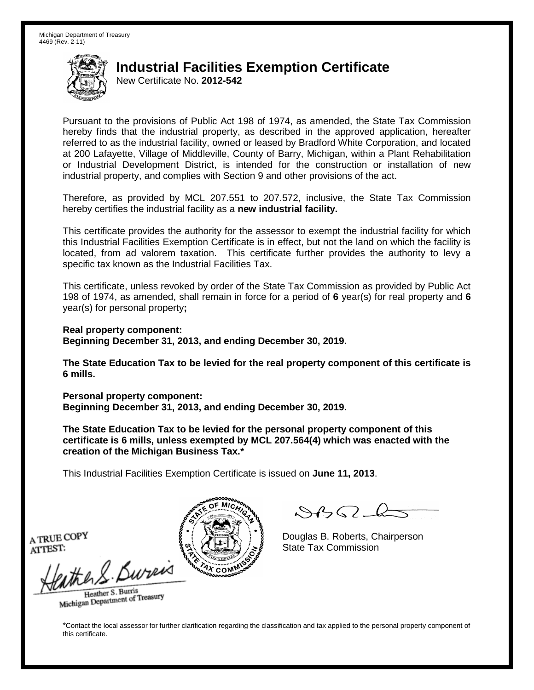New Certificate No. **2012-542**

Pursuant to the provisions of Public Act 198 of 1974, as amended, the State Tax Commission hereby finds that the industrial property, as described in the approved application, hereafter referred to as the industrial facility, owned or leased by Bradford White Corporation, and located at 200 Lafayette, Village of Middleville, County of Barry, Michigan, within a Plant Rehabilitation or Industrial Development District, is intended for the construction or installation of new industrial property, and complies with Section 9 and other provisions of the act.

Therefore, as provided by MCL 207.551 to 207.572, inclusive, the State Tax Commission hereby certifies the industrial facility as a **new industrial facility.**

This certificate provides the authority for the assessor to exempt the industrial facility for which this Industrial Facilities Exemption Certificate is in effect, but not the land on which the facility is located, from ad valorem taxation. This certificate further provides the authority to levy a specific tax known as the Industrial Facilities Tax.

This certificate, unless revoked by order of the State Tax Commission as provided by Public Act 198 of 1974, as amended, shall remain in force for a period of **6** year(s) for real property and **6** year(s) for personal property**;**

**Real property component: Beginning December 31, 2013, and ending December 30, 2019.**

**The State Education Tax to be levied for the real property component of this certificate is 6 mills.**

**Personal property component: Beginning December 31, 2013, and ending December 30, 2019.**

**The State Education Tax to be levied for the personal property component of this certificate is 6 mills, unless exempted by MCL 207.564(4) which was enacted with the creation of the Michigan Business Tax.\***

This Industrial Facilities Exemption Certificate is issued on **June 11, 2013**.

 $\mathcal{S}$ BO-6

Douglas B. Roberts, Chairperson State Tax Commission

A TRUE COPY ATTEST:

athers Burn

Heather S. Burris Heather S. Buris<br>Michigan Department of Treasury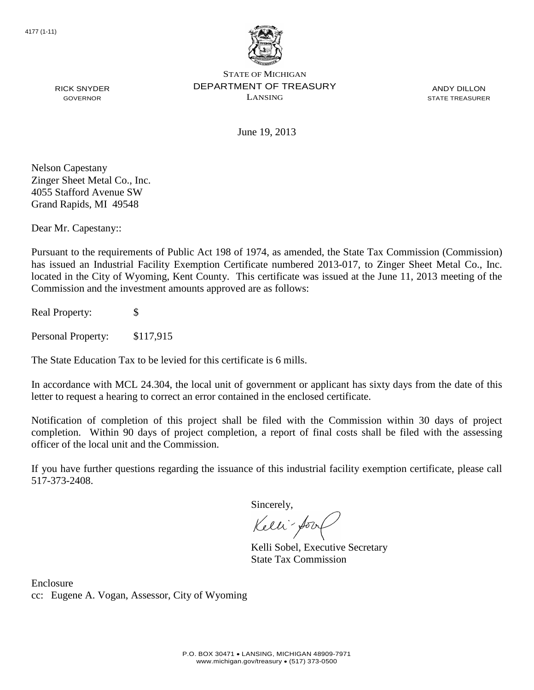

ANDY DILLON STATE TREASURER

June 19, 2013

Nelson Capestany Zinger Sheet Metal Co., Inc. 4055 Stafford Avenue SW Grand Rapids, MI 49548

RICK SNYDER GOVERNOR

Dear Mr. Capestany::

Pursuant to the requirements of Public Act 198 of 1974, as amended, the State Tax Commission (Commission) has issued an Industrial Facility Exemption Certificate numbered 2013-017, to Zinger Sheet Metal Co., Inc. located in the City of Wyoming, Kent County. This certificate was issued at the June 11, 2013 meeting of the Commission and the investment amounts approved are as follows:

Real Property: \$

Personal Property: \$117,915

The State Education Tax to be levied for this certificate is 6 mills.

In accordance with MCL 24.304, the local unit of government or applicant has sixty days from the date of this letter to request a hearing to correct an error contained in the enclosed certificate.

Notification of completion of this project shall be filed with the Commission within 30 days of project completion. Within 90 days of project completion, a report of final costs shall be filed with the assessing officer of the local unit and the Commission.

If you have further questions regarding the issuance of this industrial facility exemption certificate, please call 517-373-2408.

Sincerely,

Kelli-Sorr

Kelli Sobel, Executive Secretary State Tax Commission

Enclosure cc: Eugene A. Vogan, Assessor, City of Wyoming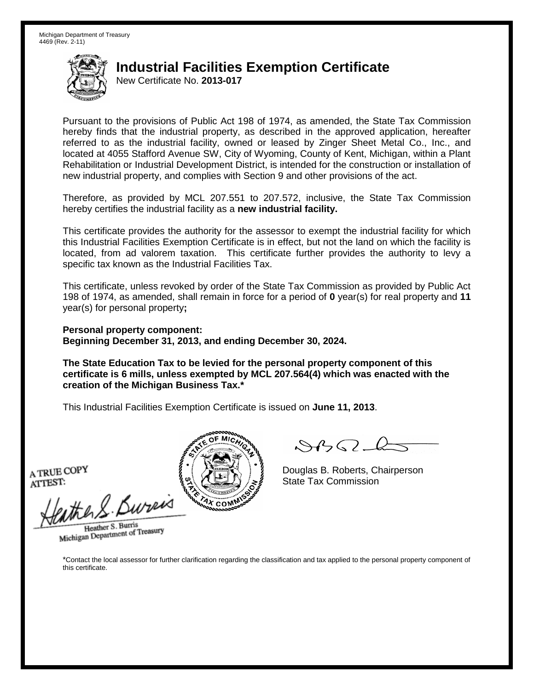New Certificate No. **2013-017**

Pursuant to the provisions of Public Act 198 of 1974, as amended, the State Tax Commission hereby finds that the industrial property, as described in the approved application, hereafter referred to as the industrial facility, owned or leased by Zinger Sheet Metal Co., Inc., and located at 4055 Stafford Avenue SW, City of Wyoming, County of Kent, Michigan, within a Plant Rehabilitation or Industrial Development District, is intended for the construction or installation of new industrial property, and complies with Section 9 and other provisions of the act.

Therefore, as provided by MCL 207.551 to 207.572, inclusive, the State Tax Commission hereby certifies the industrial facility as a **new industrial facility.**

This certificate provides the authority for the assessor to exempt the industrial facility for which this Industrial Facilities Exemption Certificate is in effect, but not the land on which the facility is located, from ad valorem taxation. This certificate further provides the authority to levy a specific tax known as the Industrial Facilities Tax.

This certificate, unless revoked by order of the State Tax Commission as provided by Public Act 198 of 1974, as amended, shall remain in force for a period of **0** year(s) for real property and **11** year(s) for personal property**;**

**Personal property component: Beginning December 31, 2013, and ending December 30, 2024.**

**The State Education Tax to be levied for the personal property component of this certificate is 6 mills, unless exempted by MCL 207.564(4) which was enacted with the creation of the Michigan Business Tax.\***

This Industrial Facilities Exemption Certificate is issued on **June 11, 2013**.

A TRUE COPY ATTEST:

athers Bureis

Heather S. Burris Heather S. Burns<br>Michigan Department of Treasury



 $\mathcal{S}$ 

Douglas B. Roberts, Chairperson State Tax Commission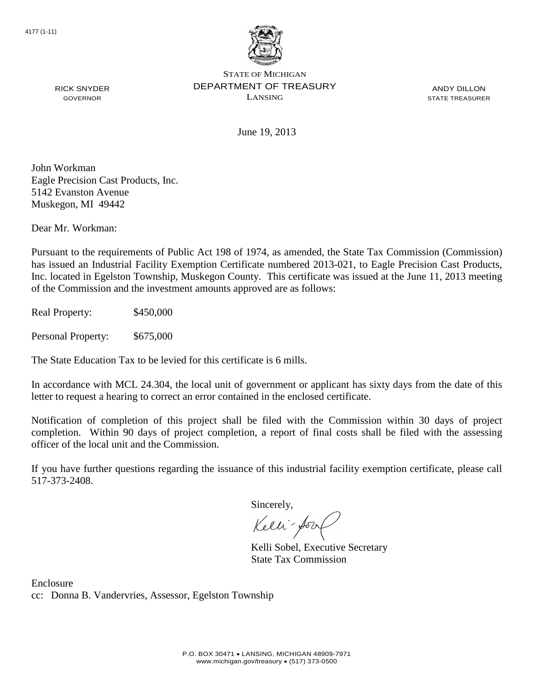

ANDY DILLON STATE TREASURER

June 19, 2013

John Workman Eagle Precision Cast Products, Inc. 5142 Evanston Avenue

Dear Mr. Workman:

Muskegon, MI 49442

RICK SNYDER GOVERNOR

Pursuant to the requirements of Public Act 198 of 1974, as amended, the State Tax Commission (Commission) has issued an Industrial Facility Exemption Certificate numbered 2013-021, to Eagle Precision Cast Products, Inc. located in Egelston Township, Muskegon County. This certificate was issued at the June 11, 2013 meeting of the Commission and the investment amounts approved are as follows:

Real Property: \$450,000

Personal Property: \$675,000

The State Education Tax to be levied for this certificate is 6 mills.

In accordance with MCL 24.304, the local unit of government or applicant has sixty days from the date of this letter to request a hearing to correct an error contained in the enclosed certificate.

Notification of completion of this project shall be filed with the Commission within 30 days of project completion. Within 90 days of project completion, a report of final costs shall be filed with the assessing officer of the local unit and the Commission.

If you have further questions regarding the issuance of this industrial facility exemption certificate, please call 517-373-2408.

Sincerely,

Kelli-Sorr

Kelli Sobel, Executive Secretary State Tax Commission

Enclosure cc: Donna B. Vandervries, Assessor, Egelston Township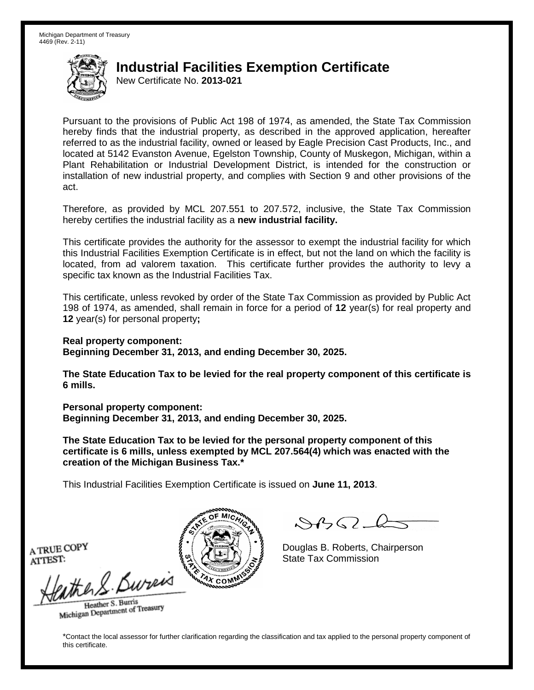New Certificate No. **2013-021**

Pursuant to the provisions of Public Act 198 of 1974, as amended, the State Tax Commission hereby finds that the industrial property, as described in the approved application, hereafter referred to as the industrial facility, owned or leased by Eagle Precision Cast Products, Inc., and located at 5142 Evanston Avenue, Egelston Township, County of Muskegon, Michigan, within a Plant Rehabilitation or Industrial Development District, is intended for the construction or installation of new industrial property, and complies with Section 9 and other provisions of the act.

Therefore, as provided by MCL 207.551 to 207.572, inclusive, the State Tax Commission hereby certifies the industrial facility as a **new industrial facility.**

This certificate provides the authority for the assessor to exempt the industrial facility for which this Industrial Facilities Exemption Certificate is in effect, but not the land on which the facility is located, from ad valorem taxation. This certificate further provides the authority to levy a specific tax known as the Industrial Facilities Tax.

This certificate, unless revoked by order of the State Tax Commission as provided by Public Act 198 of 1974, as amended, shall remain in force for a period of **12** year(s) for real property and **12** year(s) for personal property**;**

**Real property component: Beginning December 31, 2013, and ending December 30, 2025.**

**The State Education Tax to be levied for the real property component of this certificate is** 

**Personal property component: Beginning December 31, 2013, and ending December 30, 2025.**

**The State Education Tax to be levied for the personal property component of this certificate is 6 mills, unless exempted by MCL 207.564(4) which was enacted with the creation of the Michigan Business Tax.\***

This Industrial Facilities Exemption Certificate is issued on **June 11, 2013**.

 $\mathcal{S}$ 

Douglas B. Roberts, Chairperson State Tax Commission

A TRUE COPY ATTEST:

**6 mills.**

the 2. Bureis

Heather S. Burris Heather S. Buris<br>Michigan Department of Treasury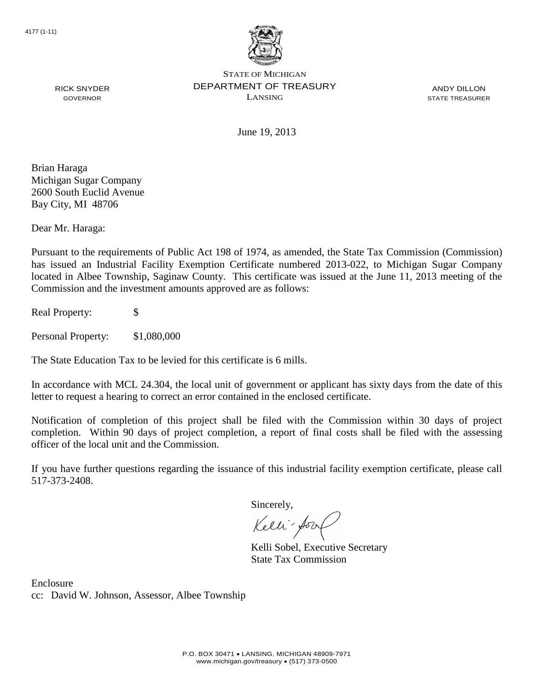

ANDY DILLON STATE TREASURER

June 19, 2013

Brian Haraga Michigan Sugar Company 2600 South Euclid Avenue Bay City, MI 48706

RICK SNYDER GOVERNOR

Dear Mr. Haraga:

Pursuant to the requirements of Public Act 198 of 1974, as amended, the State Tax Commission (Commission) has issued an Industrial Facility Exemption Certificate numbered 2013-022, to Michigan Sugar Company located in Albee Township, Saginaw County. This certificate was issued at the June 11, 2013 meeting of the Commission and the investment amounts approved are as follows:

Real Property: \$

Personal Property: \$1,080,000

The State Education Tax to be levied for this certificate is 6 mills.

In accordance with MCL 24.304, the local unit of government or applicant has sixty days from the date of this letter to request a hearing to correct an error contained in the enclosed certificate.

Notification of completion of this project shall be filed with the Commission within 30 days of project completion. Within 90 days of project completion, a report of final costs shall be filed with the assessing officer of the local unit and the Commission.

If you have further questions regarding the issuance of this industrial facility exemption certificate, please call 517-373-2408.

Sincerely,

Kelli-Sorr

Kelli Sobel, Executive Secretary State Tax Commission

Enclosure cc: David W. Johnson, Assessor, Albee Township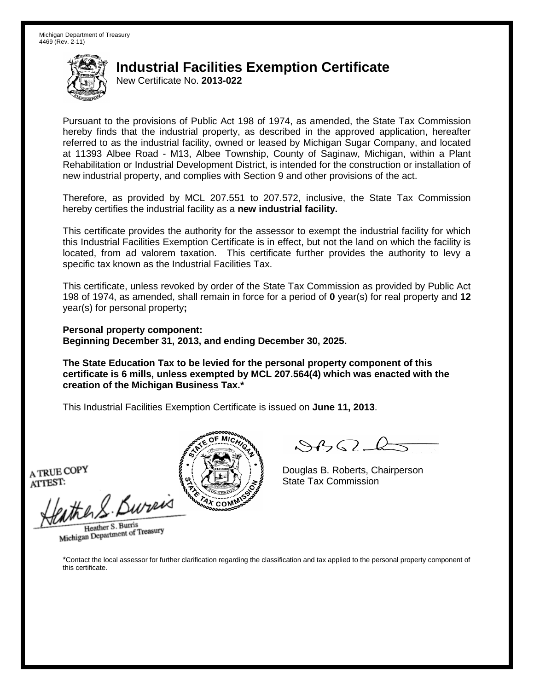New Certificate No. **2013-022**

Pursuant to the provisions of Public Act 198 of 1974, as amended, the State Tax Commission hereby finds that the industrial property, as described in the approved application, hereafter referred to as the industrial facility, owned or leased by Michigan Sugar Company, and located at 11393 Albee Road - M13, Albee Township, County of Saginaw, Michigan, within a Plant Rehabilitation or Industrial Development District, is intended for the construction or installation of new industrial property, and complies with Section 9 and other provisions of the act.

Therefore, as provided by MCL 207.551 to 207.572, inclusive, the State Tax Commission hereby certifies the industrial facility as a **new industrial facility.**

This certificate provides the authority for the assessor to exempt the industrial facility for which this Industrial Facilities Exemption Certificate is in effect, but not the land on which the facility is located, from ad valorem taxation. This certificate further provides the authority to levy a specific tax known as the Industrial Facilities Tax.

This certificate, unless revoked by order of the State Tax Commission as provided by Public Act 198 of 1974, as amended, shall remain in force for a period of **0** year(s) for real property and **12** year(s) for personal property**;**

**Personal property component: Beginning December 31, 2013, and ending December 30, 2025.**

**The State Education Tax to be levied for the personal property component of this certificate is 6 mills, unless exempted by MCL 207.564(4) which was enacted with the creation of the Michigan Business Tax.\***

This Industrial Facilities Exemption Certificate is issued on **June 11, 2013**.

A TRUE COPY ATTEST:

withen S. Bureix

Heather S. Burris Heather S. Burns<br>Michigan Department of Treasury



 $\mathcal{S}$ 

Douglas B. Roberts, Chairperson State Tax Commission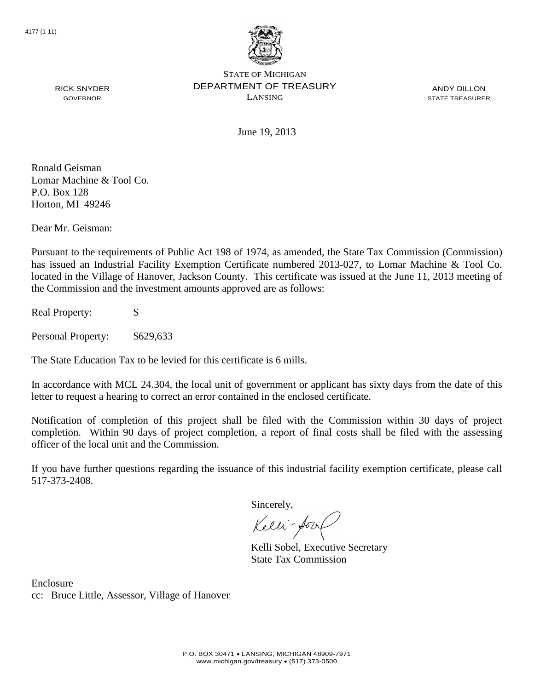

ANDY DILLON STATE TREASURER

June 19, 2013

Ronald Geisman Lomar Machine & Tool Co. P.O. Box 128 Horton, MI 49246

RICK SNYDER GOVERNOR

Dear Mr. Geisman:

Pursuant to the requirements of Public Act 198 of 1974, as amended, the State Tax Commission (Commission) has issued an Industrial Facility Exemption Certificate numbered 2013-027, to Lomar Machine & Tool Co. located in the Village of Hanover, Jackson County. This certificate was issued at the June 11, 2013 meeting of the Commission and the investment amounts approved are as follows:

Real Property: \$

Personal Property: \$629,633

The State Education Tax to be levied for this certificate is 6 mills.

In accordance with MCL 24.304, the local unit of government or applicant has sixty days from the date of this letter to request a hearing to correct an error contained in the enclosed certificate.

Notification of completion of this project shall be filed with the Commission within 30 days of project completion. Within 90 days of project completion, a report of final costs shall be filed with the assessing officer of the local unit and the Commission.

If you have further questions regarding the issuance of this industrial facility exemption certificate, please call 517-373-2408.

Sincerely,

Kelli-Sorr

Kelli Sobel, Executive Secretary State Tax Commission

Enclosure cc: Bruce Little, Assessor, Village of Hanover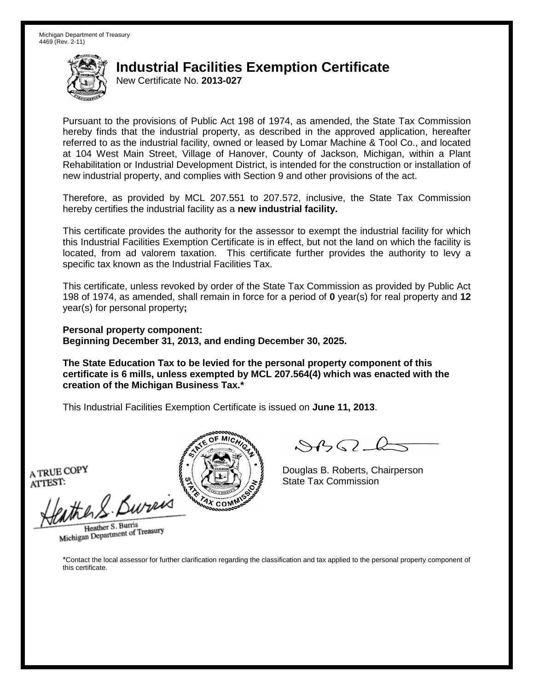New Certificate No. **2013-027**

Pursuant to the provisions of Public Act 198 of 1974, as amended, the State Tax Commission hereby finds that the industrial property, as described in the approved application, hereafter referred to as the industrial facility, owned or leased by Lomar Machine & Tool Co., and located at 104 West Main Street, Village of Hanover, County of Jackson, Michigan, within a Plant Rehabilitation or Industrial Development District, is intended for the construction or installation of new industrial property, and complies with Section 9 and other provisions of the act.

Therefore, as provided by MCL 207.551 to 207.572, inclusive, the State Tax Commission hereby certifies the industrial facility as a **new industrial facility.**

This certificate provides the authority for the assessor to exempt the industrial facility for which this Industrial Facilities Exemption Certificate is in effect, but not the land on which the facility is located, from ad valorem taxation. This certificate further provides the authority to levy a specific tax known as the Industrial Facilities Tax.

This certificate, unless revoked by order of the State Tax Commission as provided by Public Act 198 of 1974, as amended, shall remain in force for a period of **0** year(s) for real property and **12** year(s) for personal property**;**

**Personal property component: Beginning December 31, 2013, and ending December 30, 2025.**

**The State Education Tax to be levied for the personal property component of this certificate is 6 mills, unless exempted by MCL 207.564(4) which was enacted with the creation of the Michigan Business Tax.\***

This Industrial Facilities Exemption Certificate is issued on **June 11, 2013**.

A TRUE COPY ATTEST:

withen S. Bureix

Heather S. Burris Heather S. Burns<br>Michigan Department of Treasury



 $\mathcal{S}$ 

Douglas B. Roberts, Chairperson State Tax Commission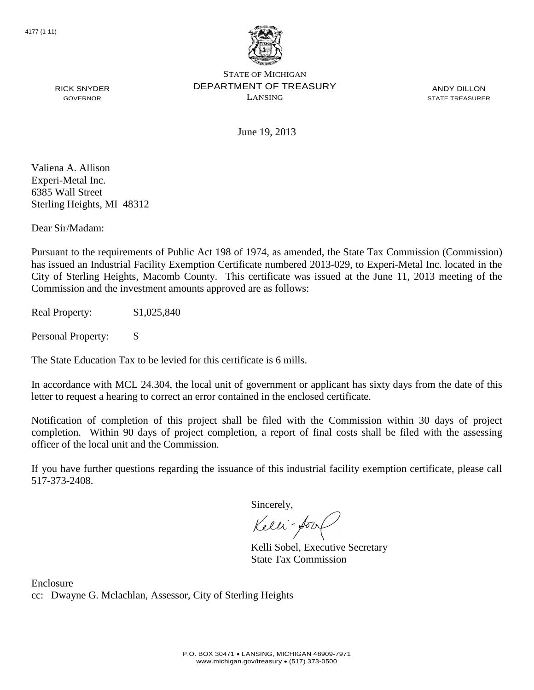

ANDY DILLON STATE TREASURER

RICK SNYDER GOVERNOR

June 19, 2013

Valiena A. Allison Experi-Metal Inc. 6385 Wall Street Sterling Heights, MI 48312

Dear Sir/Madam:

Pursuant to the requirements of Public Act 198 of 1974, as amended, the State Tax Commission (Commission) has issued an Industrial Facility Exemption Certificate numbered 2013-029, to Experi-Metal Inc. located in the City of Sterling Heights, Macomb County. This certificate was issued at the June 11, 2013 meeting of the Commission and the investment amounts approved are as follows:

Real Property: \$1,025,840

Personal Property: \$

The State Education Tax to be levied for this certificate is 6 mills.

In accordance with MCL 24.304, the local unit of government or applicant has sixty days from the date of this letter to request a hearing to correct an error contained in the enclosed certificate.

Notification of completion of this project shall be filed with the Commission within 30 days of project completion. Within 90 days of project completion, a report of final costs shall be filed with the assessing officer of the local unit and the Commission.

If you have further questions regarding the issuance of this industrial facility exemption certificate, please call 517-373-2408.

Sincerely,

Kelli-Sorr

Kelli Sobel, Executive Secretary State Tax Commission

Enclosure cc: Dwayne G. Mclachlan, Assessor, City of Sterling Heights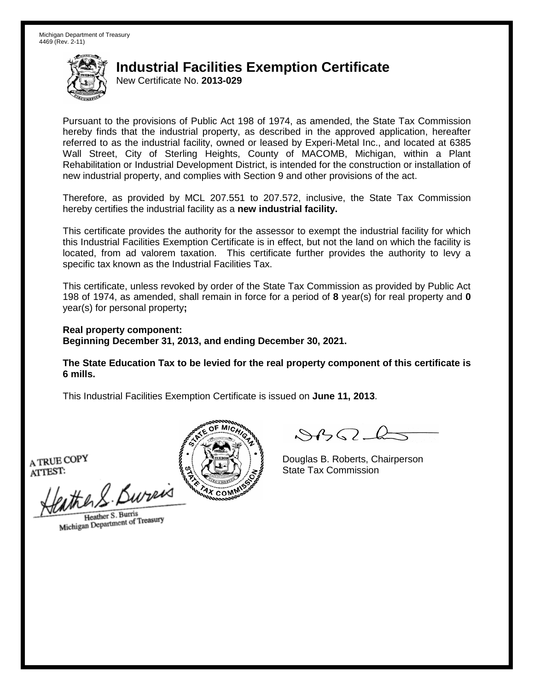New Certificate No. **2013-029**

Pursuant to the provisions of Public Act 198 of 1974, as amended, the State Tax Commission hereby finds that the industrial property, as described in the approved application, hereafter referred to as the industrial facility, owned or leased by Experi-Metal Inc., and located at 6385 Wall Street, City of Sterling Heights, County of MACOMB, Michigan, within a Plant Rehabilitation or Industrial Development District, is intended for the construction or installation of new industrial property, and complies with Section 9 and other provisions of the act.

Therefore, as provided by MCL 207.551 to 207.572, inclusive, the State Tax Commission hereby certifies the industrial facility as a **new industrial facility.**

This certificate provides the authority for the assessor to exempt the industrial facility for which this Industrial Facilities Exemption Certificate is in effect, but not the land on which the facility is located, from ad valorem taxation. This certificate further provides the authority to levy a specific tax known as the Industrial Facilities Tax.

This certificate, unless revoked by order of the State Tax Commission as provided by Public Act 198 of 1974, as amended, shall remain in force for a period of **8** year(s) for real property and **0** year(s) for personal property**;**

**Real property component: Beginning December 31, 2013, and ending December 30, 2021.**

**The State Education Tax to be levied for the real property component of this certificate is 6 mills.**

This Industrial Facilities Exemption Certificate is issued on **June 11, 2013**.

A TRUE COPY ATTEST:

the S. Burn

Heather S. Burris Heather S. Burns<br>Michigan Department of Treasury



 $\mathcal{A}$ 

Douglas B. Roberts, Chairperson State Tax Commission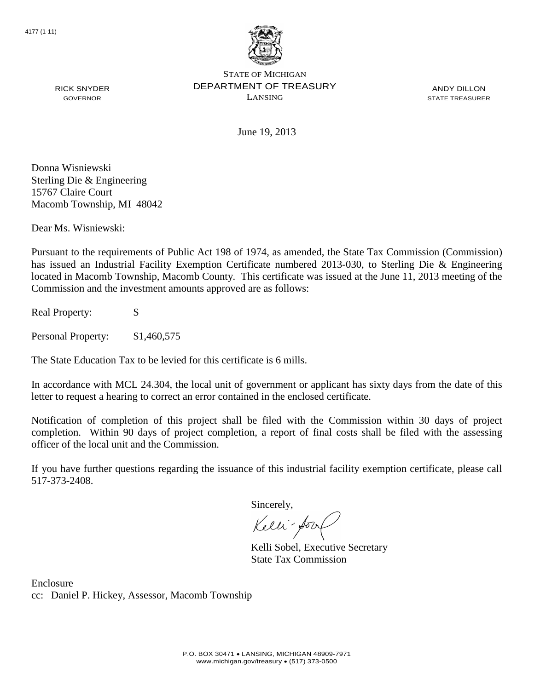

ANDY DILLON STATE TREASURER

June 19, 2013

Donna Wisniewski Sterling Die & Engineering 15767 Claire Court Macomb Township, MI 48042

Dear Ms. Wisniewski:

RICK SNYDER GOVERNOR

Pursuant to the requirements of Public Act 198 of 1974, as amended, the State Tax Commission (Commission) has issued an Industrial Facility Exemption Certificate numbered 2013-030, to Sterling Die & Engineering located in Macomb Township, Macomb County. This certificate was issued at the June 11, 2013 meeting of the Commission and the investment amounts approved are as follows:

Real Property: \$

Personal Property: \$1,460,575

The State Education Tax to be levied for this certificate is 6 mills.

In accordance with MCL 24.304, the local unit of government or applicant has sixty days from the date of this letter to request a hearing to correct an error contained in the enclosed certificate.

Notification of completion of this project shall be filed with the Commission within 30 days of project completion. Within 90 days of project completion, a report of final costs shall be filed with the assessing officer of the local unit and the Commission.

If you have further questions regarding the issuance of this industrial facility exemption certificate, please call 517-373-2408.

Sincerely,

Kelli-Sorr

Kelli Sobel, Executive Secretary State Tax Commission

Enclosure cc: Daniel P. Hickey, Assessor, Macomb Township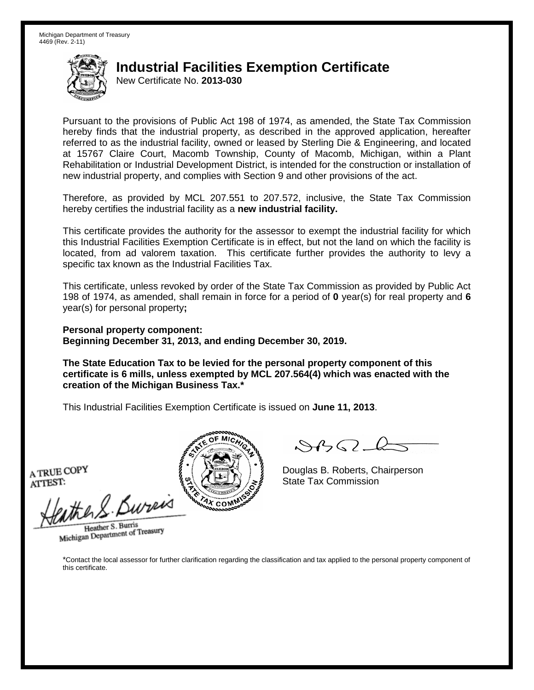New Certificate No. **2013-030**

Pursuant to the provisions of Public Act 198 of 1974, as amended, the State Tax Commission hereby finds that the industrial property, as described in the approved application, hereafter referred to as the industrial facility, owned or leased by Sterling Die & Engineering, and located at 15767 Claire Court, Macomb Township, County of Macomb, Michigan, within a Plant Rehabilitation or Industrial Development District, is intended for the construction or installation of new industrial property, and complies with Section 9 and other provisions of the act.

Therefore, as provided by MCL 207.551 to 207.572, inclusive, the State Tax Commission hereby certifies the industrial facility as a **new industrial facility.**

This certificate provides the authority for the assessor to exempt the industrial facility for which this Industrial Facilities Exemption Certificate is in effect, but not the land on which the facility is located, from ad valorem taxation. This certificate further provides the authority to levy a specific tax known as the Industrial Facilities Tax.

This certificate, unless revoked by order of the State Tax Commission as provided by Public Act 198 of 1974, as amended, shall remain in force for a period of **0** year(s) for real property and **6** year(s) for personal property**;**

**Personal property component: Beginning December 31, 2013, and ending December 30, 2019.**

**The State Education Tax to be levied for the personal property component of this certificate is 6 mills, unless exempted by MCL 207.564(4) which was enacted with the creation of the Michigan Business Tax.\***

This Industrial Facilities Exemption Certificate is issued on **June 11, 2013**.

A TRUE COPY ATTEST:

withen S. Bureix

Heather S. Burris Heather S. Burns<br>Michigan Department of Treasury



 $\mathcal{S}$ 

Douglas B. Roberts, Chairperson State Tax Commission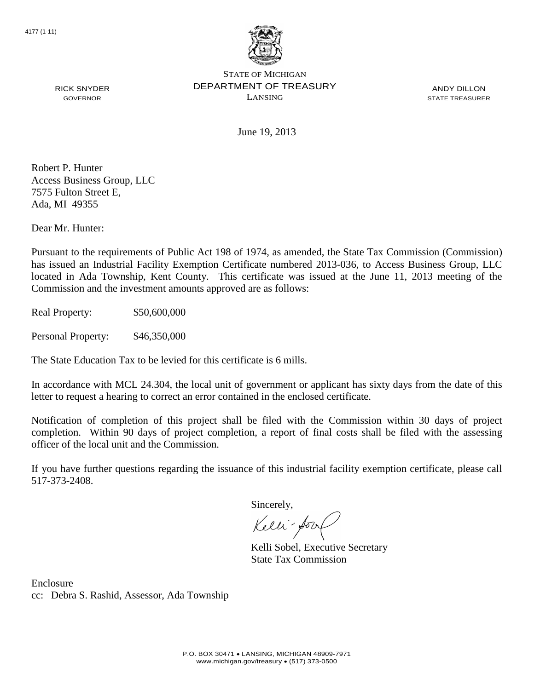

ANDY DILLON STATE TREASURER

RICK SNYDER GOVERNOR

June 19, 2013

Robert P. Hunter Access Business Group, LLC 7575 Fulton Street E, Ada, MI 49355

Dear Mr. Hunter:

Pursuant to the requirements of Public Act 198 of 1974, as amended, the State Tax Commission (Commission) has issued an Industrial Facility Exemption Certificate numbered 2013-036, to Access Business Group, LLC located in Ada Township, Kent County. This certificate was issued at the June 11, 2013 meeting of the Commission and the investment amounts approved are as follows:

Real Property: \$50,600,000

Personal Property: \$46,350,000

The State Education Tax to be levied for this certificate is 6 mills.

In accordance with MCL 24.304, the local unit of government or applicant has sixty days from the date of this letter to request a hearing to correct an error contained in the enclosed certificate.

Notification of completion of this project shall be filed with the Commission within 30 days of project completion. Within 90 days of project completion, a report of final costs shall be filed with the assessing officer of the local unit and the Commission.

If you have further questions regarding the issuance of this industrial facility exemption certificate, please call 517-373-2408.

Sincerely,

Kelli-Sorr

Kelli Sobel, Executive Secretary State Tax Commission

Enclosure cc: Debra S. Rashid, Assessor, Ada Township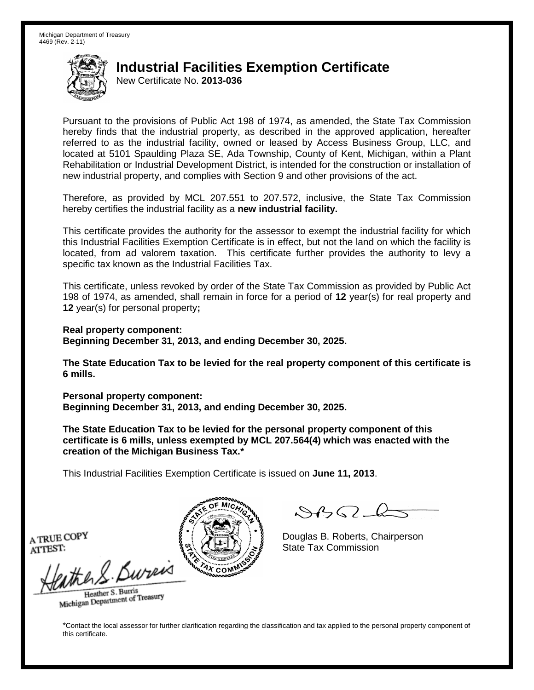New Certificate No. **2013-036**

Pursuant to the provisions of Public Act 198 of 1974, as amended, the State Tax Commission hereby finds that the industrial property, as described in the approved application, hereafter referred to as the industrial facility, owned or leased by Access Business Group, LLC, and located at 5101 Spaulding Plaza SE, Ada Township, County of Kent, Michigan, within a Plant Rehabilitation or Industrial Development District, is intended for the construction or installation of new industrial property, and complies with Section 9 and other provisions of the act.

Therefore, as provided by MCL 207.551 to 207.572, inclusive, the State Tax Commission hereby certifies the industrial facility as a **new industrial facility.**

This certificate provides the authority for the assessor to exempt the industrial facility for which this Industrial Facilities Exemption Certificate is in effect, but not the land on which the facility is located, from ad valorem taxation. This certificate further provides the authority to levy a specific tax known as the Industrial Facilities Tax.

This certificate, unless revoked by order of the State Tax Commission as provided by Public Act 198 of 1974, as amended, shall remain in force for a period of **12** year(s) for real property and **12** year(s) for personal property**;**

**Real property component: Beginning December 31, 2013, and ending December 30, 2025.**

**The State Education Tax to be levied for the real property component of this certificate is 6 mills.**

**Personal property component: Beginning December 31, 2013, and ending December 30, 2025.**

**The State Education Tax to be levied for the personal property component of this certificate is 6 mills, unless exempted by MCL 207.564(4) which was enacted with the creation of the Michigan Business Tax.\***

This Industrial Facilities Exemption Certificate is issued on **June 11, 2013**.

 $\mathcal{S}$ BO-6

Douglas B. Roberts, Chairperson State Tax Commission

A TRUE COPY ATTEST:

athers Burn

Heather S. Burris Heather S. Buris<br>Michigan Department of Treasury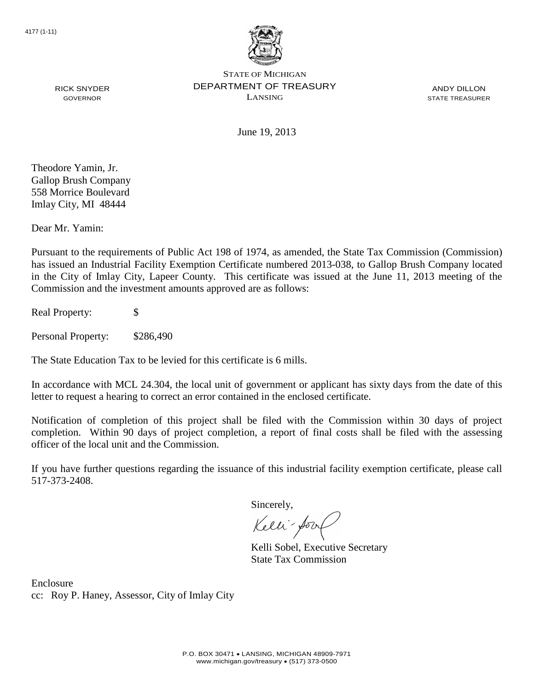

ANDY DILLON STATE TREASURER

RICK SNYDER GOVERNOR

June 19, 2013

Theodore Yamin, Jr. Gallop Brush Company 558 Morrice Boulevard Imlay City, MI 48444

Dear Mr. Yamin:

Pursuant to the requirements of Public Act 198 of 1974, as amended, the State Tax Commission (Commission) has issued an Industrial Facility Exemption Certificate numbered 2013-038, to Gallop Brush Company located in the City of Imlay City, Lapeer County. This certificate was issued at the June 11, 2013 meeting of the Commission and the investment amounts approved are as follows:

Real Property: \$

Personal Property: \$286,490

The State Education Tax to be levied for this certificate is 6 mills.

In accordance with MCL 24.304, the local unit of government or applicant has sixty days from the date of this letter to request a hearing to correct an error contained in the enclosed certificate.

Notification of completion of this project shall be filed with the Commission within 30 days of project completion. Within 90 days of project completion, a report of final costs shall be filed with the assessing officer of the local unit and the Commission.

If you have further questions regarding the issuance of this industrial facility exemption certificate, please call 517-373-2408.

Sincerely,

Kelli-Sorr

Kelli Sobel, Executive Secretary State Tax Commission

Enclosure cc: Roy P. Haney, Assessor, City of Imlay City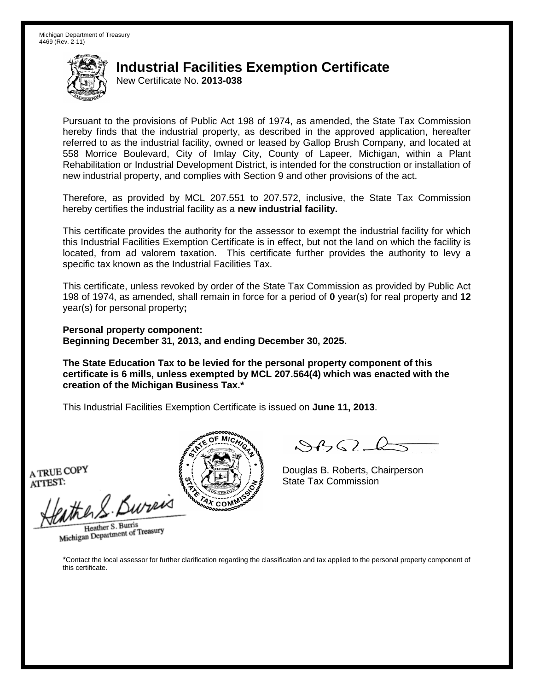New Certificate No. **2013-038**

Pursuant to the provisions of Public Act 198 of 1974, as amended, the State Tax Commission hereby finds that the industrial property, as described in the approved application, hereafter referred to as the industrial facility, owned or leased by Gallop Brush Company, and located at 558 Morrice Boulevard, City of Imlay City, County of Lapeer, Michigan, within a Plant Rehabilitation or Industrial Development District, is intended for the construction or installation of new industrial property, and complies with Section 9 and other provisions of the act.

Therefore, as provided by MCL 207.551 to 207.572, inclusive, the State Tax Commission hereby certifies the industrial facility as a **new industrial facility.**

This certificate provides the authority for the assessor to exempt the industrial facility for which this Industrial Facilities Exemption Certificate is in effect, but not the land on which the facility is located, from ad valorem taxation. This certificate further provides the authority to levy a specific tax known as the Industrial Facilities Tax.

This certificate, unless revoked by order of the State Tax Commission as provided by Public Act 198 of 1974, as amended, shall remain in force for a period of **0** year(s) for real property and **12** year(s) for personal property**;**

**Personal property component: Beginning December 31, 2013, and ending December 30, 2025.**

**The State Education Tax to be levied for the personal property component of this certificate is 6 mills, unless exempted by MCL 207.564(4) which was enacted with the creation of the Michigan Business Tax.\***

This Industrial Facilities Exemption Certificate is issued on **June 11, 2013**.

A TRUE COPY ATTEST:

withen S. Bureix

Heather S. Burris Heather S. Burns<br>Michigan Department of Treasury



 $\mathcal{S}$ 

Douglas B. Roberts, Chairperson State Tax Commission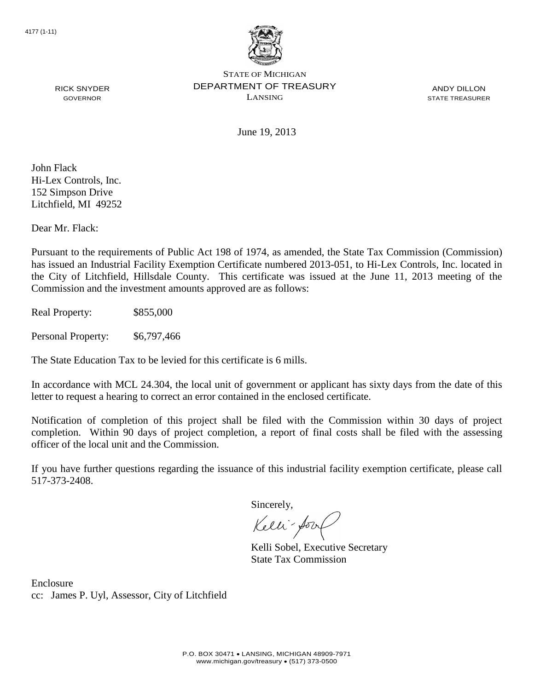

ANDY DILLON STATE TREASURER

RICK SNYDER GOVERNOR

June 19, 2013

John Flack Hi-Lex Controls, Inc. 152 Simpson Drive Litchfield, MI 49252

Dear Mr. Flack:

Pursuant to the requirements of Public Act 198 of 1974, as amended, the State Tax Commission (Commission) has issued an Industrial Facility Exemption Certificate numbered 2013-051, to Hi-Lex Controls, Inc. located in the City of Litchfield, Hillsdale County. This certificate was issued at the June 11, 2013 meeting of the Commission and the investment amounts approved are as follows:

Real Property: \$855,000

Personal Property: \$6,797,466

The State Education Tax to be levied for this certificate is 6 mills.

In accordance with MCL 24.304, the local unit of government or applicant has sixty days from the date of this letter to request a hearing to correct an error contained in the enclosed certificate.

Notification of completion of this project shall be filed with the Commission within 30 days of project completion. Within 90 days of project completion, a report of final costs shall be filed with the assessing officer of the local unit and the Commission.

If you have further questions regarding the issuance of this industrial facility exemption certificate, please call 517-373-2408.

Sincerely,

Kelli-Sor

Kelli Sobel, Executive Secretary State Tax Commission

Enclosure cc: James P. Uyl, Assessor, City of Litchfield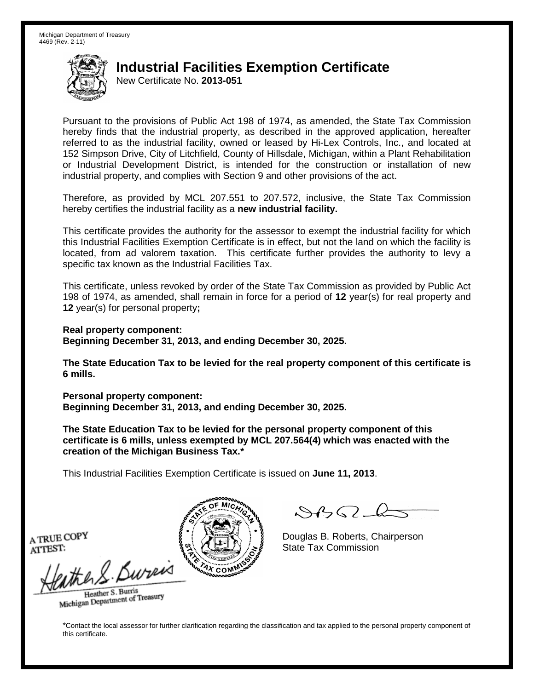New Certificate No. **2013-051**

Pursuant to the provisions of Public Act 198 of 1974, as amended, the State Tax Commission hereby finds that the industrial property, as described in the approved application, hereafter referred to as the industrial facility, owned or leased by Hi-Lex Controls, Inc., and located at 152 Simpson Drive, City of Litchfield, County of Hillsdale, Michigan, within a Plant Rehabilitation or Industrial Development District, is intended for the construction or installation of new industrial property, and complies with Section 9 and other provisions of the act.

Therefore, as provided by MCL 207.551 to 207.572, inclusive, the State Tax Commission hereby certifies the industrial facility as a **new industrial facility.**

This certificate provides the authority for the assessor to exempt the industrial facility for which this Industrial Facilities Exemption Certificate is in effect, but not the land on which the facility is located, from ad valorem taxation. This certificate further provides the authority to levy a specific tax known as the Industrial Facilities Tax.

This certificate, unless revoked by order of the State Tax Commission as provided by Public Act 198 of 1974, as amended, shall remain in force for a period of **12** year(s) for real property and **12** year(s) for personal property**;**

**Real property component: Beginning December 31, 2013, and ending December 30, 2025.**

**The State Education Tax to be levied for the real property component of this certificate is 6 mills.**

**Personal property component: Beginning December 31, 2013, and ending December 30, 2025.**

**The State Education Tax to be levied for the personal property component of this certificate is 6 mills, unless exempted by MCL 207.564(4) which was enacted with the creation of the Michigan Business Tax.\***

This Industrial Facilities Exemption Certificate is issued on **June 11, 2013**.

 $\mathcal{S}$ BO-6

Douglas B. Roberts, Chairperson State Tax Commission

A TRUE COPY ATTEST:

athers Burn

Heather S. Burris Heather S. Buris<br>Michigan Department of Treasury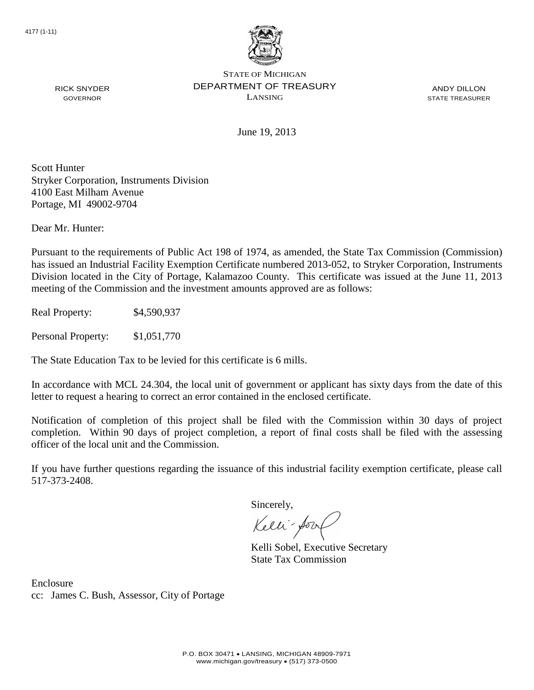

ANDY DILLON STATE TREASURER

June 19, 2013

Scott Hunter Stryker Corporation, Instruments Division 4100 East Milham Avenue Portage, MI 49002-9704

Dear Mr. Hunter:

RICK SNYDER GOVERNOR

Pursuant to the requirements of Public Act 198 of 1974, as amended, the State Tax Commission (Commission) has issued an Industrial Facility Exemption Certificate numbered 2013-052, to Stryker Corporation, Instruments Division located in the City of Portage, Kalamazoo County. This certificate was issued at the June 11, 2013 meeting of the Commission and the investment amounts approved are as follows:

Real Property: \$4,590,937

Personal Property: \$1,051,770

The State Education Tax to be levied for this certificate is 6 mills.

In accordance with MCL 24.304, the local unit of government or applicant has sixty days from the date of this letter to request a hearing to correct an error contained in the enclosed certificate.

Notification of completion of this project shall be filed with the Commission within 30 days of project completion. Within 90 days of project completion, a report of final costs shall be filed with the assessing officer of the local unit and the Commission.

If you have further questions regarding the issuance of this industrial facility exemption certificate, please call 517-373-2408.

Sincerely,

Kelli-Sorr

Kelli Sobel, Executive Secretary State Tax Commission

Enclosure cc: James C. Bush, Assessor, City of Portage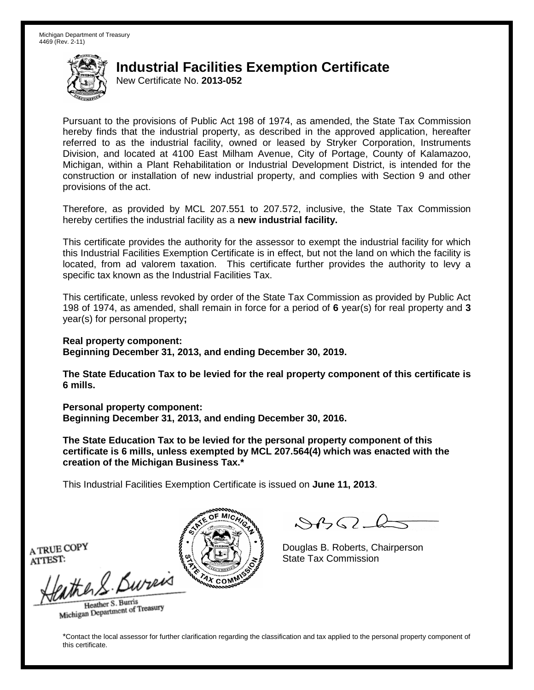New Certificate No. **2013-052**

Pursuant to the provisions of Public Act 198 of 1974, as amended, the State Tax Commission hereby finds that the industrial property, as described in the approved application, hereafter referred to as the industrial facility, owned or leased by Stryker Corporation, Instruments Division, and located at 4100 East Milham Avenue, City of Portage, County of Kalamazoo, Michigan, within a Plant Rehabilitation or Industrial Development District, is intended for the construction or installation of new industrial property, and complies with Section 9 and other provisions of the act.

Therefore, as provided by MCL 207.551 to 207.572, inclusive, the State Tax Commission hereby certifies the industrial facility as a **new industrial facility.**

This certificate provides the authority for the assessor to exempt the industrial facility for which this Industrial Facilities Exemption Certificate is in effect, but not the land on which the facility is located, from ad valorem taxation. This certificate further provides the authority to levy a specific tax known as the Industrial Facilities Tax.

This certificate, unless revoked by order of the State Tax Commission as provided by Public Act 198 of 1974, as amended, shall remain in force for a period of **6** year(s) for real property and **3** year(s) for personal property**;**

**Real property component: Beginning December 31, 2013, and ending December 30, 2019.**

**The State Education Tax to be levied for the real property component of this certificate is 6 mills.**

**Personal property component: Beginning December 31, 2013, and ending December 30, 2016.**

**The State Education Tax to be levied for the personal property component of this certificate is 6 mills, unless exempted by MCL 207.564(4) which was enacted with the creation of the Michigan Business Tax.\***

This Industrial Facilities Exemption Certificate is issued on **June 11, 2013**.

 $\mathcal{S}$ 

Douglas B. Roberts, Chairperson State Tax Commission

A TRUE COPY ATTEST:

the 2. Bureis Heather S. Burris

Heather S. Buris<br>Michigan Department of Treasury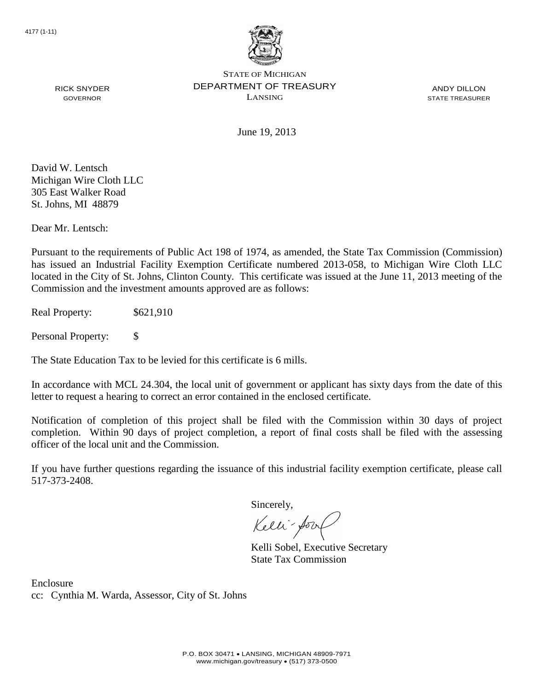

ANDY DILLON STATE TREASURER

RICK SNYDER GOVERNOR

June 19, 2013

David W. Lentsch Michigan Wire Cloth LLC 305 East Walker Road St. Johns, MI 48879

Dear Mr. Lentsch:

Pursuant to the requirements of Public Act 198 of 1974, as amended, the State Tax Commission (Commission) has issued an Industrial Facility Exemption Certificate numbered 2013-058, to Michigan Wire Cloth LLC located in the City of St. Johns, Clinton County. This certificate was issued at the June 11, 2013 meeting of the Commission and the investment amounts approved are as follows:

Real Property:  $$621,910$ 

Personal Property: \$

The State Education Tax to be levied for this certificate is 6 mills.

In accordance with MCL 24.304, the local unit of government or applicant has sixty days from the date of this letter to request a hearing to correct an error contained in the enclosed certificate.

Notification of completion of this project shall be filed with the Commission within 30 days of project completion. Within 90 days of project completion, a report of final costs shall be filed with the assessing officer of the local unit and the Commission.

If you have further questions regarding the issuance of this industrial facility exemption certificate, please call 517-373-2408.

Sincerely,

Kelli-Sorr

Kelli Sobel, Executive Secretary State Tax Commission

Enclosure cc: Cynthia M. Warda, Assessor, City of St. Johns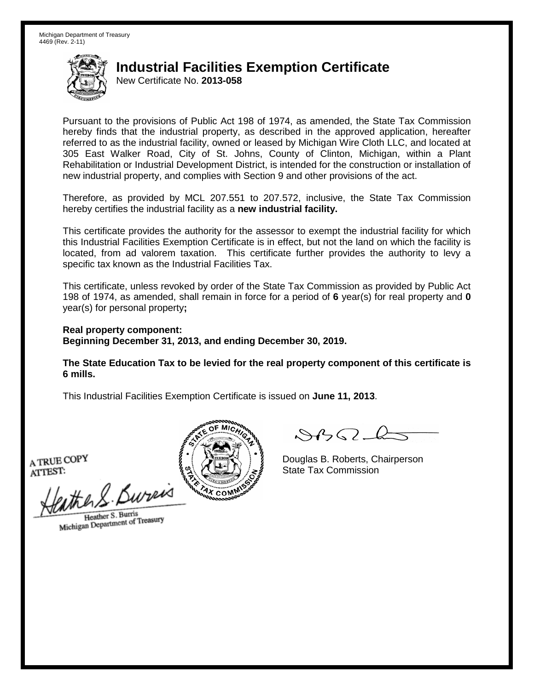New Certificate No. **2013-058**

Pursuant to the provisions of Public Act 198 of 1974, as amended, the State Tax Commission hereby finds that the industrial property, as described in the approved application, hereafter referred to as the industrial facility, owned or leased by Michigan Wire Cloth LLC, and located at 305 East Walker Road, City of St. Johns, County of Clinton, Michigan, within a Plant Rehabilitation or Industrial Development District, is intended for the construction or installation of new industrial property, and complies with Section 9 and other provisions of the act.

Therefore, as provided by MCL 207.551 to 207.572, inclusive, the State Tax Commission hereby certifies the industrial facility as a **new industrial facility.**

This certificate provides the authority for the assessor to exempt the industrial facility for which this Industrial Facilities Exemption Certificate is in effect, but not the land on which the facility is located, from ad valorem taxation. This certificate further provides the authority to levy a specific tax known as the Industrial Facilities Tax.

This certificate, unless revoked by order of the State Tax Commission as provided by Public Act 198 of 1974, as amended, shall remain in force for a period of **6** year(s) for real property and **0** year(s) for personal property**;**

**Real property component: Beginning December 31, 2013, and ending December 30, 2019.**

**The State Education Tax to be levied for the real property component of this certificate is 6 mills.**

This Industrial Facilities Exemption Certificate is issued on **June 11, 2013**.

A TRUE COPY ATTEST:

the S. Burn

Heather S. Burris Heather S. Burns<br>Michigan Department of Treasury



 $\mathcal{A}$ 

Douglas B. Roberts, Chairperson State Tax Commission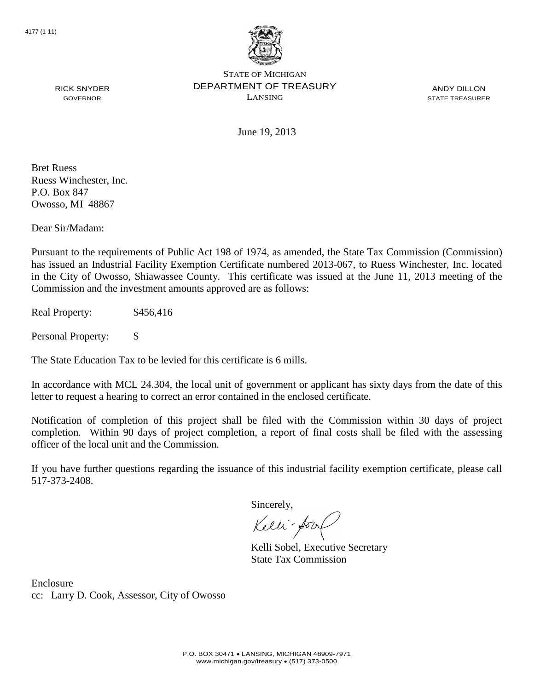

ANDY DILLON STATE TREASURER

RICK SNYDER GOVERNOR

June 19, 2013

Bret Ruess Ruess Winchester, Inc. P.O. Box 847 Owosso, MI 48867

Dear Sir/Madam:

Pursuant to the requirements of Public Act 198 of 1974, as amended, the State Tax Commission (Commission) has issued an Industrial Facility Exemption Certificate numbered 2013-067, to Ruess Winchester, Inc. located in the City of Owosso, Shiawassee County. This certificate was issued at the June 11, 2013 meeting of the Commission and the investment amounts approved are as follows:

Real Property: \$456,416

Personal Property: \$

The State Education Tax to be levied for this certificate is 6 mills.

In accordance with MCL 24.304, the local unit of government or applicant has sixty days from the date of this letter to request a hearing to correct an error contained in the enclosed certificate.

Notification of completion of this project shall be filed with the Commission within 30 days of project completion. Within 90 days of project completion, a report of final costs shall be filed with the assessing officer of the local unit and the Commission.

If you have further questions regarding the issuance of this industrial facility exemption certificate, please call 517-373-2408.

Sincerely,

Kelli-Sorr

Kelli Sobel, Executive Secretary State Tax Commission

Enclosure cc: Larry D. Cook, Assessor, City of Owosso